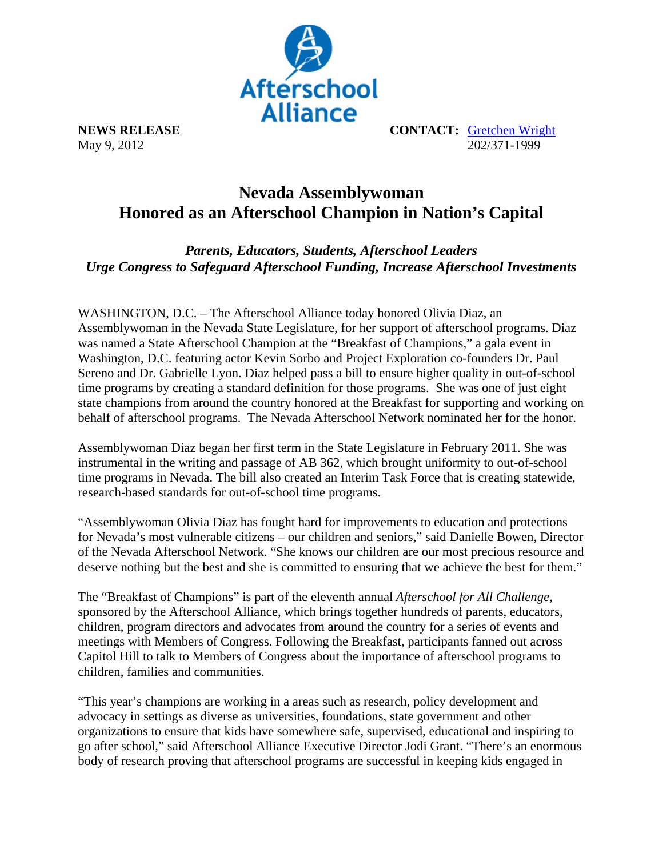

**NEWS RELEASE CONTACT:** Gretchen Wright May 9, 2012 202/371-1999

## **Nevada Assemblywoman Honored as an Afterschool Champion in Nation's Capital**

*Parents, Educators, Students, Afterschool Leaders Urge Congress to Safeguard Afterschool Funding, Increase Afterschool Investments* 

WASHINGTON, D.C. – The Afterschool Alliance today honored Olivia Diaz, an Assemblywoman in the Nevada State Legislature, for her support of afterschool programs. Diaz was named a State Afterschool Champion at the "Breakfast of Champions," a gala event in Washington, D.C. featuring actor Kevin Sorbo and Project Exploration co-founders Dr. Paul Sereno and Dr. Gabrielle Lyon. Diaz helped pass a bill to ensure higher quality in out-of-school time programs by creating a standard definition for those programs. She was one of just eight state champions from around the country honored at the Breakfast for supporting and working on behalf of afterschool programs. The Nevada Afterschool Network nominated her for the honor.

Assemblywoman Diaz began her first term in the State Legislature in February 2011. She was instrumental in the writing and passage of AB 362, which brought uniformity to out-of-school time programs in Nevada. The bill also created an Interim Task Force that is creating statewide, research-based standards for out-of-school time programs.

"Assemblywoman Olivia Diaz has fought hard for improvements to education and protections for Nevada's most vulnerable citizens – our children and seniors," said Danielle Bowen, Director of the Nevada Afterschool Network. "She knows our children are our most precious resource and deserve nothing but the best and she is committed to ensuring that we achieve the best for them."

The "Breakfast of Champions" is part of the eleventh annual *Afterschool for All Challenge,* sponsored by the Afterschool Alliance, which brings together hundreds of parents, educators, children, program directors and advocates from around the country for a series of events and meetings with Members of Congress. Following the Breakfast, participants fanned out across Capitol Hill to talk to Members of Congress about the importance of afterschool programs to children, families and communities.

"This year's champions are working in a areas such as research, policy development and advocacy in settings as diverse as universities, foundations, state government and other organizations to ensure that kids have somewhere safe, supervised, educational and inspiring to go after school," said Afterschool Alliance Executive Director Jodi Grant. "There's an enormous body of research proving that afterschool programs are successful in keeping kids engaged in